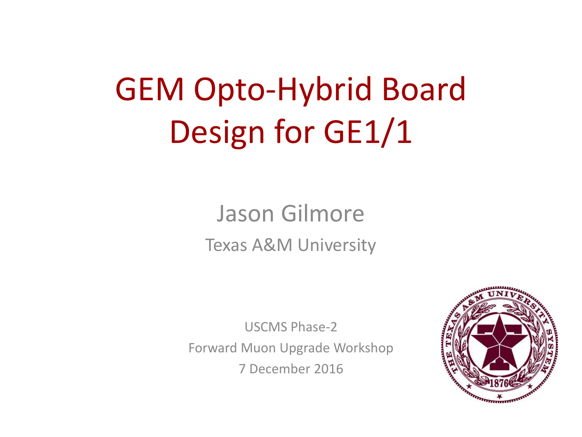# GEM Opto-Hybrid Board Design for GE1/1

### Jason Gilmore Texas A&M University

USCMS Phase-2

Forward Muon Upgrade Workshop

7 December 2016

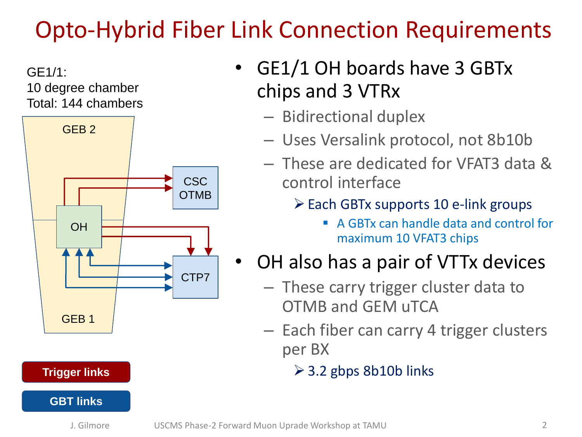# Opto-Hybrid Fiber Link Connection Requirements

GE1/1: 10 degree chamber Total: 144 chambers



#### • GE1/1 OH boards have 3 GBTx chips and 3 VTRx

- Bidirectional duplex
- Uses Versalink protocol, not 8b10b
- These are dedicated for VFAT3 data & control interface
	- $\triangleright$  Each GBTx supports 10 e-link groups
		- A GBTx can handle data and control for maximum 10 VFAT3 chips
- OH also has a pair of VTTx devices
	- These carry trigger cluster data to OTMB and GEM uTCA
	- Each fiber can carry 4 trigger clusters per BX
		- $\geq$  3.2 gbps 8b10b links

#### **Trigger links**

#### **GBT links**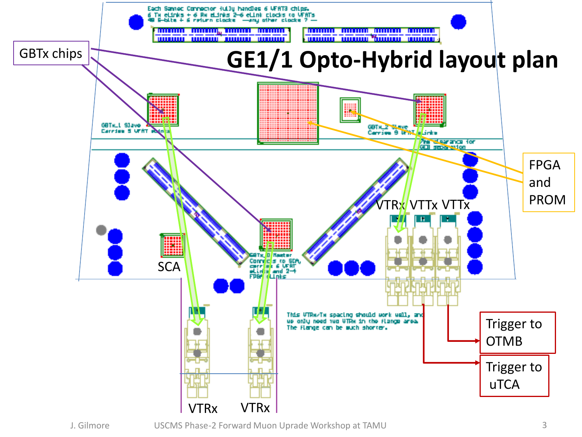

J. Gilmore USCMS Phase-2 Forward Muon Uprade Workshop at TAMU 3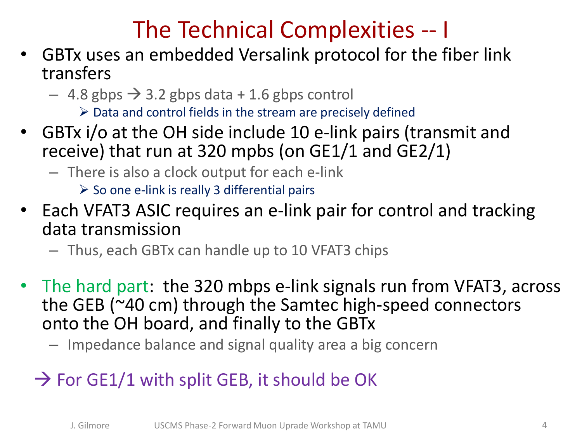### The Technical Complexities -- I

- GBTx uses an embedded Versalink protocol for the fiber link transfers
	- $-$  4.8 gbps  $\rightarrow$  3.2 gbps data + 1.6 gbps control
		- $\triangleright$  Data and control fields in the stream are precisely defined
- GBTx i/o at the OH side include 10 e-link pairs (transmit and receive) that run at 320 mpbs (on GE1/1 and GE2/1)
	- There is also a clock output for each e-link

 $\triangleright$  So one e-link is really 3 differential pairs

- Each VFAT3 ASIC requires an e-link pair for control and tracking data transmission
	- Thus, each GBTx can handle up to 10 VFAT3 chips
- The hard part: the 320 mbps e-link signals run from VFAT3, across the GEB (~40 cm) through the Samtec high-speed connectors onto the OH board, and finally to the GBTx
	- Impedance balance and signal quality area a big concern
	- $\rightarrow$  For GE1/1 with split GEB, it should be OK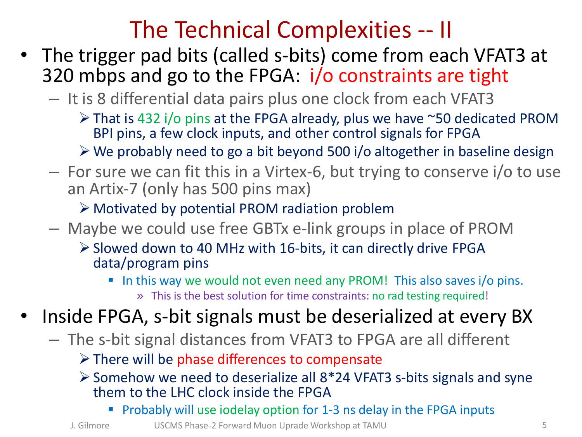#### The Technical Complexities -- II

- The trigger pad bits (called s-bits) come from each VFAT3 at 320 mbps and go to the FPGA: i/o constraints are tight
	- It is 8 differential data pairs plus one clock from each VFAT3
		- That is 432 i/o pins at the FPGA already, plus we have ~50 dedicated PROM BPI pins, a few clock inputs, and other control signals for FPGA
		- We probably need to go a bit beyond 500 i/o altogether in baseline design
	- For sure we can fit this in a Virtex-6, but trying to conserve i/o to use an Artix-7 (only has 500 pins max)

Motivated by potential PROM radiation problem

- Maybe we could use free GBTx e-link groups in place of PROM
	- $\triangleright$  Slowed down to 40 MHz with 16-bits, it can directly drive FPGA data/program pins
		- In this way we would not even need any PROM! This also saves i/o pins. » This is the best solution for time constraints: no rad testing required!
- Inside FPGA, s-bit signals must be deserialized at every BX
	- The s-bit signal distances from VFAT3 to FPGA are all different

 $\triangleright$  There will be phase differences to compensate

- $\geq$  Somehow we need to deserialize all 8\*24 VFAT3 s-bits signals and syne them to the LHC clock inside the FPGA
	- **Probably will use iodelay option for 1-3 ns delay in the FPGA inputs**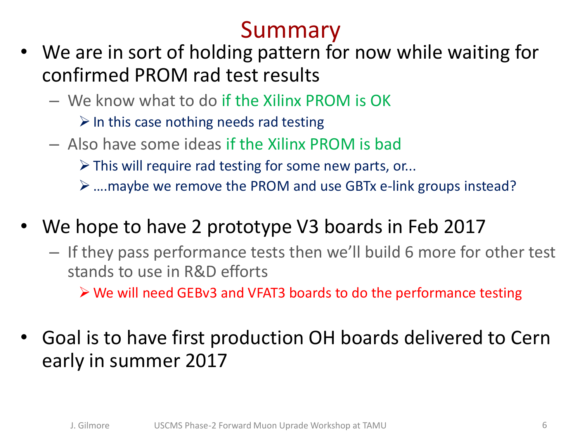## Summary

- We are in sort of holding pattern for now while waiting for confirmed PROM rad test results
	- We know what to do if the Xilinx PROM is OK
		- $\triangleright$  In this case nothing needs rad testing
	- Also have some ideas if the Xilinx PROM is bad
		- $\triangleright$  This will require rad testing for some new parts, or...
		- ….maybe we remove the PROM and use GBTx e-link groups instead?
- We hope to have 2 prototype V3 boards in Feb 2017
	- If they pass performance tests then we'll build 6 more for other test stands to use in R&D efforts

We will need GEBv3 and VFAT3 boards to do the performance testing

• Goal is to have first production OH boards delivered to Cern early in summer 2017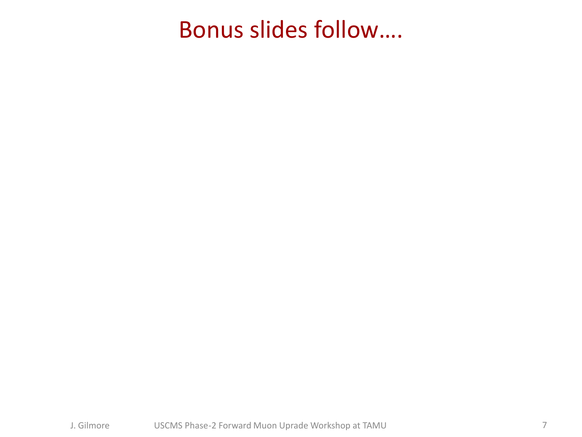#### Bonus slides follow….